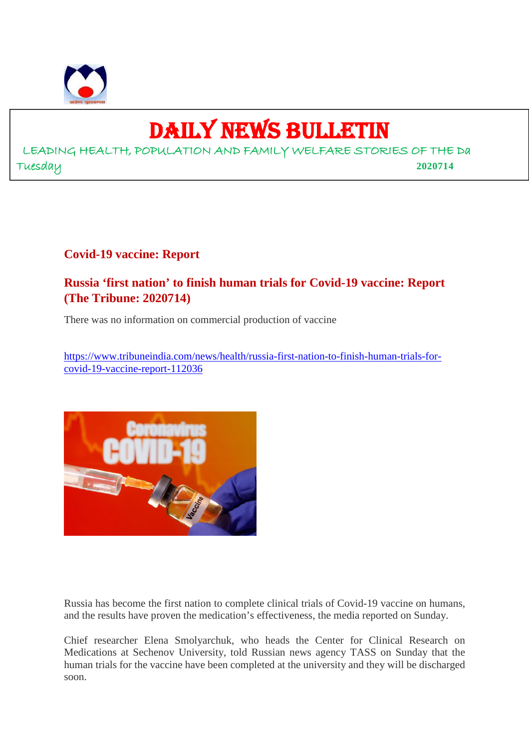

## DAILY NEWS BULLETIN

LEADING HEALTH, POPULATION AND FAMILY WELFARE STORIES OF THE Da Tuesday **2020714**

#### **Covid-19 vaccine: Report**

#### **Russia 'first nation' to finish human trials for Covid-19 vaccine: Report (The Tribune: 2020714)**

There was no information on commercial production of vaccine

https://www.tribuneindia.com/news/health/russia-first-nation-to-finish-human-trials-forcovid-19-vaccine-report-112036



Russia has become the first nation to complete clinical trials of Covid-19 vaccine on humans, and the results have proven the medication's effectiveness, the media reported on Sunday.

Chief researcher Elena Smolyarchuk, who heads the Center for Clinical Research on Medications at Sechenov University, told Russian news agency TASS on Sunday that the human trials for the vaccine have been completed at the university and they will be discharged soon.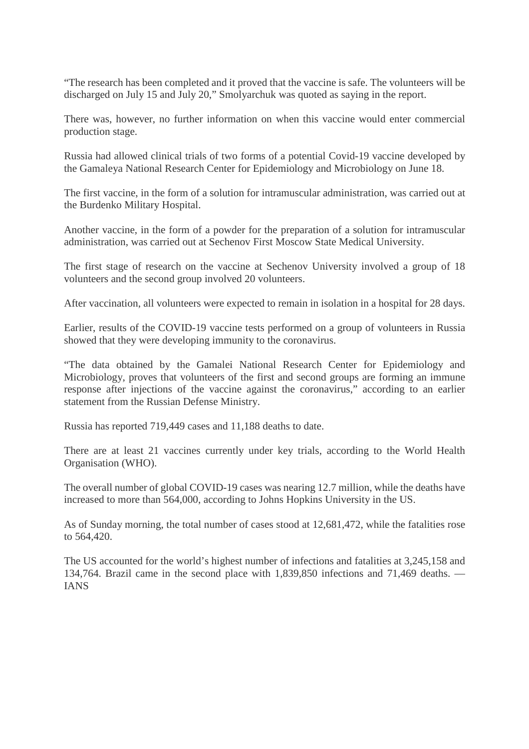"The research has been completed and it proved that the vaccine is safe. The volunteers will be discharged on July 15 and July 20," Smolyarchuk was quoted as saying in the report.

There was, however, no further information on when this vaccine would enter commercial production stage.

Russia had allowed clinical trials of two forms of a potential Covid-19 vaccine developed by the Gamaleya National Research Center for Epidemiology and Microbiology on June 18.

The first vaccine, in the form of a solution for intramuscular administration, was carried out at the Burdenko Military Hospital.

Another vaccine, in the form of a powder for the preparation of a solution for intramuscular administration, was carried out at Sechenov First Moscow State Medical University.

The first stage of research on the vaccine at Sechenov University involved a group of 18 volunteers and the second group involved 20 volunteers.

After vaccination, all volunteers were expected to remain in isolation in a hospital for 28 days.

Earlier, results of the COVID-19 vaccine tests performed on a group of volunteers in Russia showed that they were developing immunity to the coronavirus.

"The data obtained by the Gamalei National Research Center for Epidemiology and Microbiology, proves that volunteers of the first and second groups are forming an immune response after injections of the vaccine against the coronavirus," according to an earlier statement from the Russian Defense Ministry.

Russia has reported 719,449 cases and 11,188 deaths to date.

There are at least 21 vaccines currently under key trials, according to the World Health Organisation (WHO).

The overall number of global COVID-19 cases was nearing 12.7 million, while the deaths have increased to more than 564,000, according to Johns Hopkins University in the US.

As of Sunday morning, the total number of cases stood at 12,681,472, while the fatalities rose to 564,420.

The US accounted for the world's highest number of infections and fatalities at 3,245,158 and 134,764. Brazil came in the second place with 1,839,850 infections and 71,469 deaths. — IANS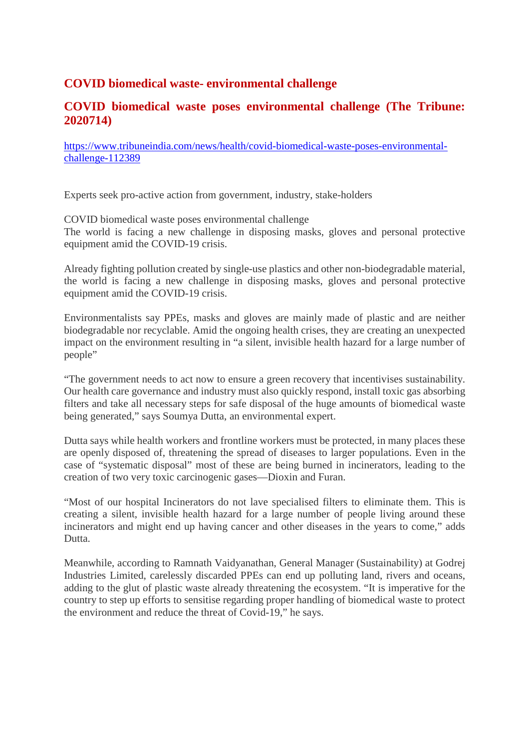#### **COVID biomedical waste- environmental challenge**

#### **COVID biomedical waste poses environmental challenge (The Tribune: 2020714)**

https://www.tribuneindia.com/news/health/covid-biomedical-waste-poses-environmentalchallenge-112389

Experts seek pro-active action from government, industry, stake-holders

COVID biomedical waste poses environmental challenge The world is facing a new challenge in disposing masks, gloves and personal protective equipment amid the COVID-19 crisis.

Already fighting pollution created by single-use plastics and other non-biodegradable material, the world is facing a new challenge in disposing masks, gloves and personal protective equipment amid the COVID-19 crisis.

Environmentalists say PPEs, masks and gloves are mainly made of plastic and are neither biodegradable nor recyclable. Amid the ongoing health crises, they are creating an unexpected impact on the environment resulting in "a silent, invisible health hazard for a large number of people"

"The government needs to act now to ensure a green recovery that incentivises sustainability. Our health care governance and industry must also quickly respond, install toxic gas absorbing filters and take all necessary steps for safe disposal of the huge amounts of biomedical waste being generated," says Soumya Dutta, an environmental expert.

Dutta says while health workers and frontline workers must be protected, in many places these are openly disposed of, threatening the spread of diseases to larger populations. Even in the case of "systematic disposal" most of these are being burned in incinerators, leading to the creation of two very toxic carcinogenic gases—Dioxin and Furan.

"Most of our hospital Incinerators do not lave specialised filters to eliminate them. This is creating a silent, invisible health hazard for a large number of people living around these incinerators and might end up having cancer and other diseases in the years to come," adds Dutta.

Meanwhile, according to Ramnath Vaidyanathan, General Manager (Sustainability) at Godrej Industries Limited, carelessly discarded PPEs can end up polluting land, rivers and oceans, adding to the glut of plastic waste already threatening the ecosystem. "It is imperative for the country to step up efforts to sensitise regarding proper handling of biomedical waste to protect the environment and reduce the threat of Covid-19," he says.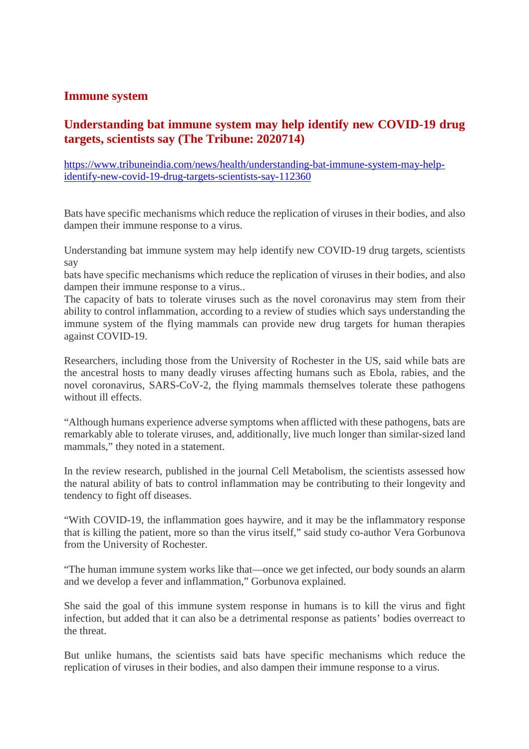#### **Immune system**

#### **Understanding bat immune system may help identify new COVID-19 drug targets, scientists say (The Tribune: 2020714)**

https://www.tribuneindia.com/news/health/understanding-bat-immune-system-may-helpidentify-new-covid-19-drug-targets-scientists-say-112360

Bats have specific mechanisms which reduce the replication of viruses in their bodies, and also dampen their immune response to a virus.

Understanding bat immune system may help identify new COVID-19 drug targets, scientists say

bats have specific mechanisms which reduce the replication of viruses in their bodies, and also dampen their immune response to a virus..

The capacity of bats to tolerate viruses such as the novel coronavirus may stem from their ability to control inflammation, according to a review of studies which says understanding the immune system of the flying mammals can provide new drug targets for human therapies against COVID-19.

Researchers, including those from the University of Rochester in the US, said while bats are the ancestral hosts to many deadly viruses affecting humans such as Ebola, rabies, and the novel coronavirus, SARS-CoV-2, the flying mammals themselves tolerate these pathogens without ill effects.

"Although humans experience adverse symptoms when afflicted with these pathogens, bats are remarkably able to tolerate viruses, and, additionally, live much longer than similar-sized land mammals," they noted in a statement.

In the review research, published in the journal Cell Metabolism, the scientists assessed how the natural ability of bats to control inflammation may be contributing to their longevity and tendency to fight off diseases.

"With COVID-19, the inflammation goes haywire, and it may be the inflammatory response that is killing the patient, more so than the virus itself," said study co-author Vera Gorbunova from the University of Rochester.

"The human immune system works like that—once we get infected, our body sounds an alarm and we develop a fever and inflammation," Gorbunova explained.

She said the goal of this immune system response in humans is to kill the virus and fight infection, but added that it can also be a detrimental response as patients' bodies overreact to the threat.

But unlike humans, the scientists said bats have specific mechanisms which reduce the replication of viruses in their bodies, and also dampen their immune response to a virus.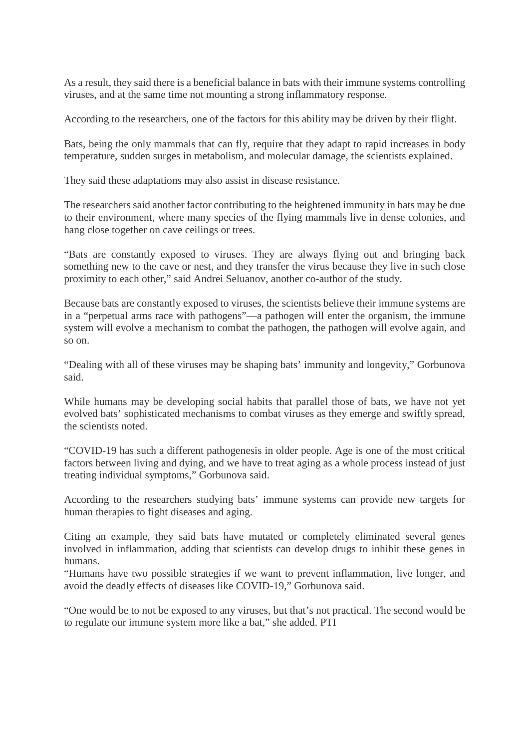As a result, they said there is a beneficial balance in bats with their immune systems controlling viruses, and at the same time not mounting a strong inflammatory response.

According to the researchers, one of the factors for this ability may be driven by their flight.

Bats, being the only mammals that can fly, require that they adapt to rapid increases in body temperature, sudden surges in metabolism, and molecular damage, the scientists explained.

They said these adaptations may also assist in disease resistance.

The researchers said another factor contributing to the heightened immunity in bats may be due to their environment, where many species of the flying mammals live in dense colonies, and hang close together on cave ceilings or trees.

"Bats are constantly exposed to viruses. They are always flying out and bringing back something new to the cave or nest, and they transfer the virus because they live in such close proximity to each other," said Andrei Seluanov, another co-author of the study.

Because bats are constantly exposed to viruses, the scientists believe their immune systems are in a "perpetual arms race with pathogens"—a pathogen will enter the organism, the immune system will evolve a mechanism to combat the pathogen, the pathogen will evolve again, and so on.

"Dealing with all of these viruses may be shaping bats' immunity and longevity," Gorbunova said.

While humans may be developing social habits that parallel those of bats, we have not yet evolved bats' sophisticated mechanisms to combat viruses as they emerge and swiftly spread, the scientists noted.

"COVID-19 has such a different pathogenesis in older people. Age is one of the most critical factors between living and dying, and we have to treat aging as a whole process instead of just treating individual symptoms," Gorbunova said.

According to the researchers studying bats' immune systems can provide new targets for human therapies to fight diseases and aging.

Citing an example, they said bats have mutated or completely eliminated several genes involved in inflammation, adding that scientists can develop drugs to inhibit these genes in humans.

"Humans have two possible strategies if we want to prevent inflammation, live longer, and avoid the deadly effects of diseases like COVID-19," Gorbunova said.

"One would be to not be exposed to any viruses, but that's not practical. The second would be to regulate our immune system more like a bat," she added. PTI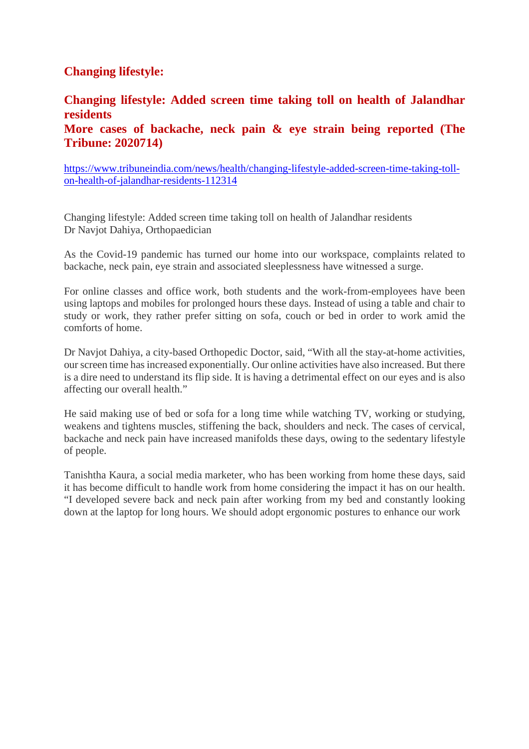#### **Changing lifestyle:**

#### **Changing lifestyle: Added screen time taking toll on health of Jalandhar residents More cases of backache, neck pain & eye strain being reported (The Tribune: 2020714)**

https://www.tribuneindia.com/news/health/changing-lifestyle-added-screen-time-taking-tollon-health-of-jalandhar-residents-112314

Changing lifestyle: Added screen time taking toll on health of Jalandhar residents Dr Navjot Dahiya, Orthopaedician

As the Covid-19 pandemic has turned our home into our workspace, complaints related to backache, neck pain, eye strain and associated sleeplessness have witnessed a surge.

For online classes and office work, both students and the work-from-employees have been using laptops and mobiles for prolonged hours these days. Instead of using a table and chair to study or work, they rather prefer sitting on sofa, couch or bed in order to work amid the comforts of home.

Dr Navjot Dahiya, a city-based Orthopedic Doctor, said, "With all the stay-at-home activities, our screen time has increased exponentially. Our online activities have also increased. But there is a dire need to understand its flip side. It is having a detrimental effect on our eyes and is also affecting our overall health."

He said making use of bed or sofa for a long time while watching TV, working or studying, weakens and tightens muscles, stiffening the back, shoulders and neck. The cases of cervical, backache and neck pain have increased manifolds these days, owing to the sedentary lifestyle of people.

Tanishtha Kaura, a social media marketer, who has been working from home these days, said it has become difficult to handle work from home considering the impact it has on our health. "I developed severe back and neck pain after working from my bed and constantly looking down at the laptop for long hours. We should adopt ergonomic postures to enhance our work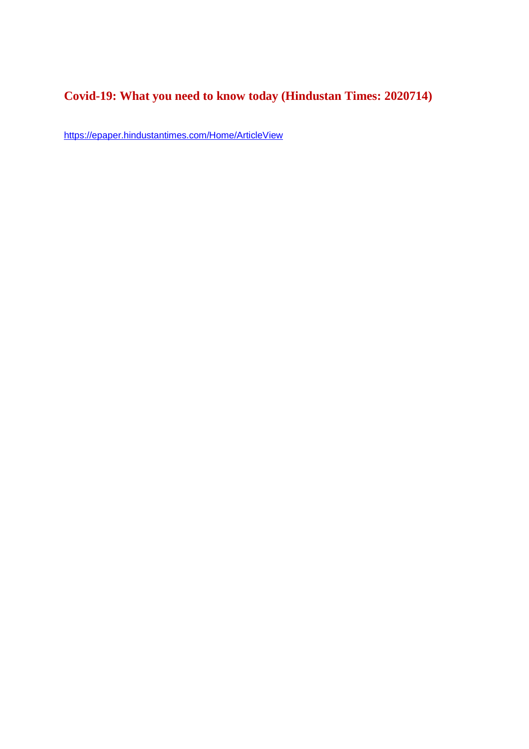#### **Covid-19: What you need to know today (Hindustan Times: 2020714)**

https://epaper.hindustantimes.com/Home/ArticleView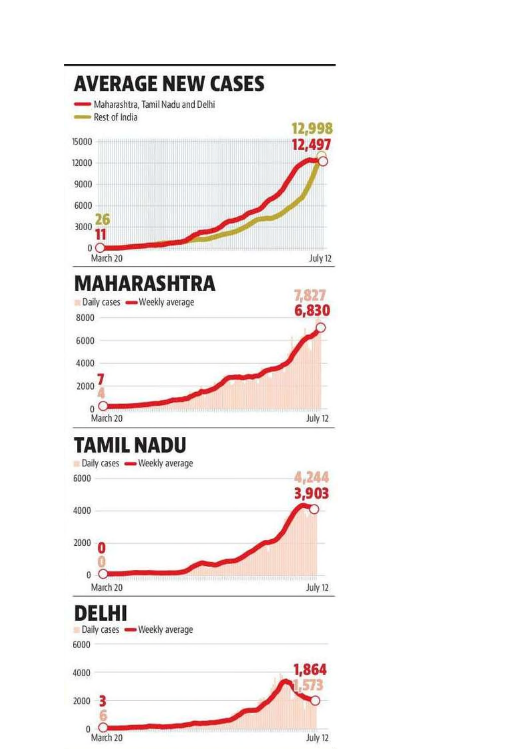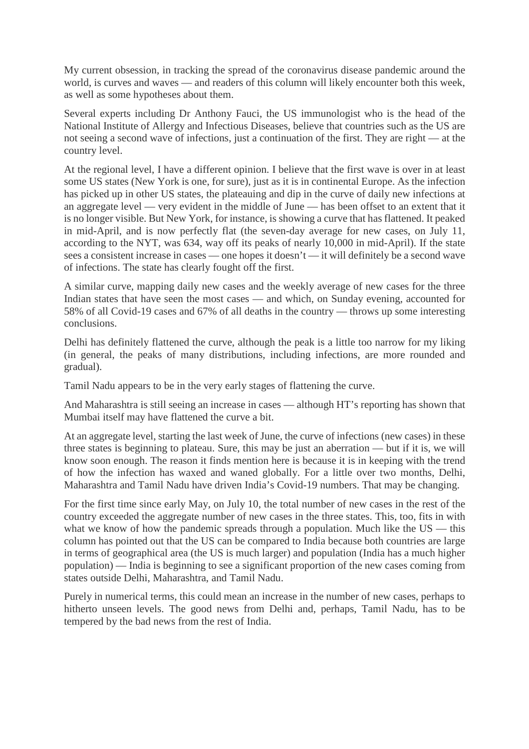My current obsession, in tracking the spread of the coronavirus disease pandemic around the world, is curves and waves — and readers of this column will likely encounter both this week, as well as some hypotheses about them.

Several experts including Dr Anthony Fauci, the US immunologist who is the head of the National Institute of Allergy and Infectious Diseases, believe that countries such as the US are not seeing a second wave of infections, just a continuation of the first. They are right — at the country level.

At the regional level, I have a different opinion. I believe that the first wave is over in at least some US states (New York is one, for sure), just as it is in continental Europe. As the infection has picked up in other US states, the plateauing and dip in the curve of daily new infections at an aggregate level — very evident in the middle of June — has been offset to an extent that it is no longer visible. But New York, for instance, is showing a curve that has flattened. It peaked in mid-April, and is now perfectly flat (the seven-day average for new cases, on July 11, according to the NYT, was 634, way off its peaks of nearly 10,000 in mid-April). If the state sees a consistent increase in cases — one hopes it doesn't — it will definitely be a second wave of infections. The state has clearly fought off the first.

A similar curve, mapping daily new cases and the weekly average of new cases for the three Indian states that have seen the most cases — and which, on Sunday evening, accounted for 58% of all Covid-19 cases and 67% of all deaths in the country — throws up some interesting conclusions.

Delhi has definitely flattened the curve, although the peak is a little too narrow for my liking (in general, the peaks of many distributions, including infections, are more rounded and gradual).

Tamil Nadu appears to be in the very early stages of flattening the curve.

And Maharashtra is still seeing an increase in cases — although HT's reporting has shown that Mumbai itself may have flattened the curve a bit.

At an aggregate level, starting the last week of June, the curve of infections (new cases) in these three states is beginning to plateau. Sure, this may be just an aberration — but if it is, we will know soon enough. The reason it finds mention here is because it is in keeping with the trend of how the infection has waxed and waned globally. For a little over two months, Delhi, Maharashtra and Tamil Nadu have driven India's Covid-19 numbers. That may be changing.

For the first time since early May, on July 10, the total number of new cases in the rest of the country exceeded the aggregate number of new cases in the three states. This, too, fits in with what we know of how the pandemic spreads through a population. Much like the US — this column has pointed out that the US can be compared to India because both countries are large in terms of geographical area (the US is much larger) and population (India has a much higher population) — India is beginning to see a significant proportion of the new cases coming from states outside Delhi, Maharashtra, and Tamil Nadu.

Purely in numerical terms, this could mean an increase in the number of new cases, perhaps to hitherto unseen levels. The good news from Delhi and, perhaps, Tamil Nadu, has to be tempered by the bad news from the rest of India.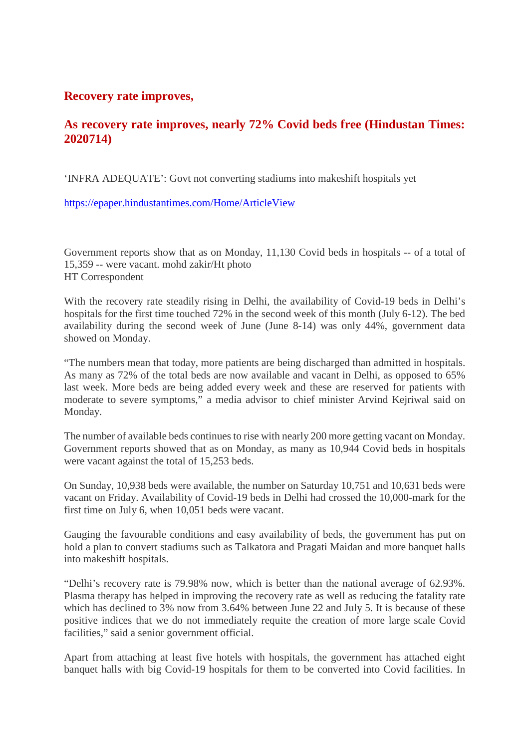#### **Recovery rate improves,**

#### **As recovery rate improves, nearly 72% Covid beds free (Hindustan Times: 2020714)**

'INFRA ADEQUATE': Govt not converting stadiums into makeshift hospitals yet

https://epaper.hindustantimes.com/Home/ArticleView

Government reports show that as on Monday, 11,130 Covid beds in hospitals -- of a total of 15,359 -- were vacant. mohd zakir/Ht photo HT Correspondent

With the recovery rate steadily rising in Delhi, the availability of Covid-19 beds in Delhi's hospitals for the first time touched 72% in the second week of this month (July 6-12). The bed availability during the second week of June (June 8-14) was only 44%, government data showed on Monday.

"The numbers mean that today, more patients are being discharged than admitted in hospitals. As many as 72% of the total beds are now available and vacant in Delhi, as opposed to 65% last week. More beds are being added every week and these are reserved for patients with moderate to severe symptoms," a media advisor to chief minister Arvind Kejriwal said on Monday.

The number of available beds continues to rise with nearly 200 more getting vacant on Monday. Government reports showed that as on Monday, as many as 10,944 Covid beds in hospitals were vacant against the total of 15,253 beds.

On Sunday, 10,938 beds were available, the number on Saturday 10,751 and 10,631 beds were vacant on Friday. Availability of Covid-19 beds in Delhi had crossed the 10,000-mark for the first time on July 6, when 10,051 beds were vacant.

Gauging the favourable conditions and easy availability of beds, the government has put on hold a plan to convert stadiums such as Talkatora and Pragati Maidan and more banquet halls into makeshift hospitals.

"Delhi's recovery rate is 79.98% now, which is better than the national average of 62.93%. Plasma therapy has helped in improving the recovery rate as well as reducing the fatality rate which has declined to 3% now from 3.64% between June 22 and July 5. It is because of these positive indices that we do not immediately requite the creation of more large scale Covid facilities," said a senior government official.

Apart from attaching at least five hotels with hospitals, the government has attached eight banquet halls with big Covid-19 hospitals for them to be converted into Covid facilities. In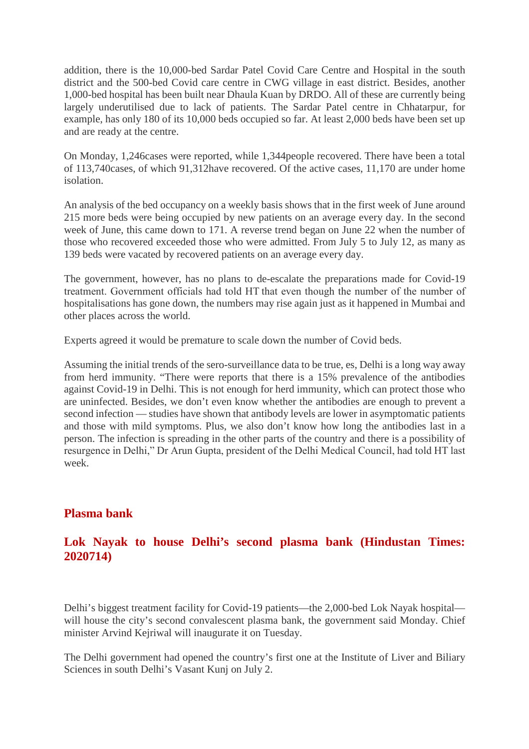addition, there is the 10,000-bed Sardar Patel Covid Care Centre and Hospital in the south district and the 500-bed Covid care centre in CWG village in east district. Besides, another 1,000-bed hospital has been built near Dhaula Kuan by DRDO. All of these are currently being largely underutilised due to lack of patients. The Sardar Patel centre in Chhatarpur, for example, has only 180 of its 10,000 beds occupied so far. At least 2,000 beds have been set up and are ready at the centre.

On Monday, 1,246cases were reported, while 1,344people recovered. There have been a total of 113,740cases, of which 91,312have recovered. Of the active cases, 11,170 are under home isolation.

An analysis of the bed occupancy on a weekly basis shows that in the first week of June around 215 more beds were being occupied by new patients on an average every day. In the second week of June, this came down to 171. A reverse trend began on June 22 when the number of those who recovered exceeded those who were admitted. From July 5 to July 12, as many as 139 beds were vacated by recovered patients on an average every day.

The government, however, has no plans to de-escalate the preparations made for Covid-19 treatment. Government officials had told HT that even though the number of the number of hospitalisations has gone down, the numbers may rise again just as it happened in Mumbai and other places across the world.

Experts agreed it would be premature to scale down the number of Covid beds.

Assuming the initial trends of the sero-surveillance data to be true, es, Delhi is a long way away from herd immunity. "There were reports that there is a 15% prevalence of the antibodies against Covid-19 in Delhi. This is not enough for herd immunity, which can protect those who are uninfected. Besides, we don't even know whether the antibodies are enough to prevent a second infection — studies have shown that antibody levels are lower in asymptomatic patients and those with mild symptoms. Plus, we also don't know how long the antibodies last in a person. The infection is spreading in the other parts of the country and there is a possibility of resurgence in Delhi," Dr Arun Gupta, president of the Delhi Medical Council, had told HT last week.

#### **Plasma bank**

#### **Lok Nayak to house Delhi's second plasma bank (Hindustan Times: 2020714)**

Delhi's biggest treatment facility for Covid-19 patients—the 2,000-bed Lok Nayak hospital will house the city's second convalescent plasma bank, the government said Monday. Chief minister Arvind Kejriwal will inaugurate it on Tuesday.

The Delhi government had opened the country's first one at the Institute of Liver and Biliary Sciences in south Delhi's Vasant Kunj on July 2.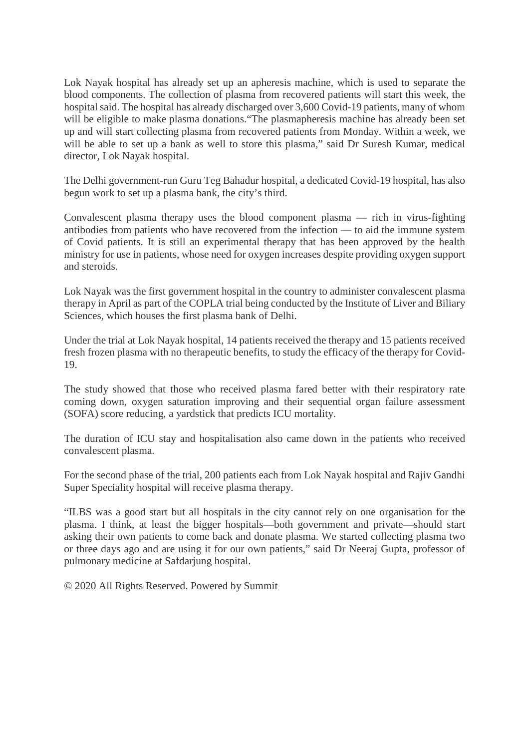Lok Nayak hospital has already set up an apheresis machine, which is used to separate the blood components. The collection of plasma from recovered patients will start this week, the hospital said. The hospital has already discharged over 3,600 Covid-19 patients, many of whom will be eligible to make plasma donations."The plasmapheresis machine has already been set up and will start collecting plasma from recovered patients from Monday. Within a week, we will be able to set up a bank as well to store this plasma," said Dr Suresh Kumar, medical director, Lok Nayak hospital.

The Delhi government-run Guru Teg Bahadur hospital, a dedicated Covid-19 hospital, has also begun work to set up a plasma bank, the city's third.

Convalescent plasma therapy uses the blood component plasma — rich in virus-fighting antibodies from patients who have recovered from the infection — to aid the immune system of Covid patients. It is still an experimental therapy that has been approved by the health ministry for use in patients, whose need for oxygen increases despite providing oxygen support and steroids.

Lok Nayak was the first government hospital in the country to administer convalescent plasma therapy in April as part of the COPLA trial being conducted by the Institute of Liver and Biliary Sciences, which houses the first plasma bank of Delhi.

Under the trial at Lok Nayak hospital, 14 patients received the therapy and 15 patients received fresh frozen plasma with no therapeutic benefits, to study the efficacy of the therapy for Covid-19.

The study showed that those who received plasma fared better with their respiratory rate coming down, oxygen saturation improving and their sequential organ failure assessment (SOFA) score reducing, a yardstick that predicts ICU mortality.

The duration of ICU stay and hospitalisation also came down in the patients who received convalescent plasma.

For the second phase of the trial, 200 patients each from Lok Nayak hospital and Rajiv Gandhi Super Speciality hospital will receive plasma therapy.

"ILBS was a good start but all hospitals in the city cannot rely on one organisation for the plasma. I think, at least the bigger hospitals—both government and private—should start asking their own patients to come back and donate plasma. We started collecting plasma two or three days ago and are using it for our own patients," said Dr Neeraj Gupta, professor of pulmonary medicine at Safdarjung hospital.

© 2020 All Rights Reserved. Powered by Summit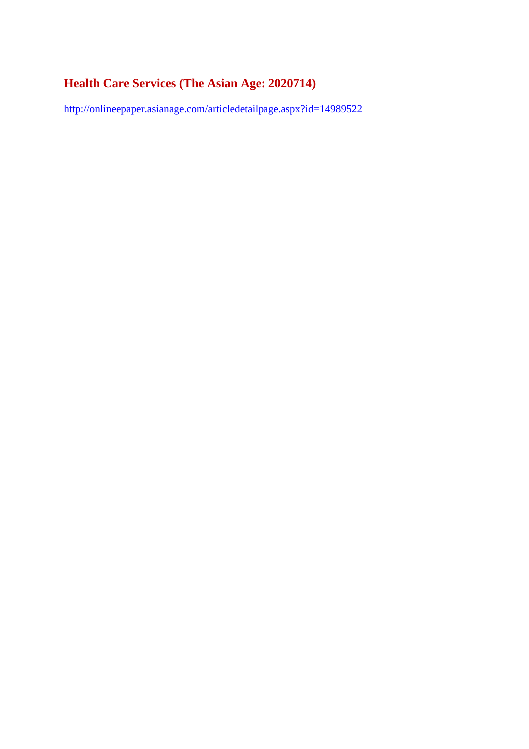#### **Health Care Services (The Asian Age: 2020714)**

http://onlineepaper.asianage.com/articledetailpage.aspx?id=14989522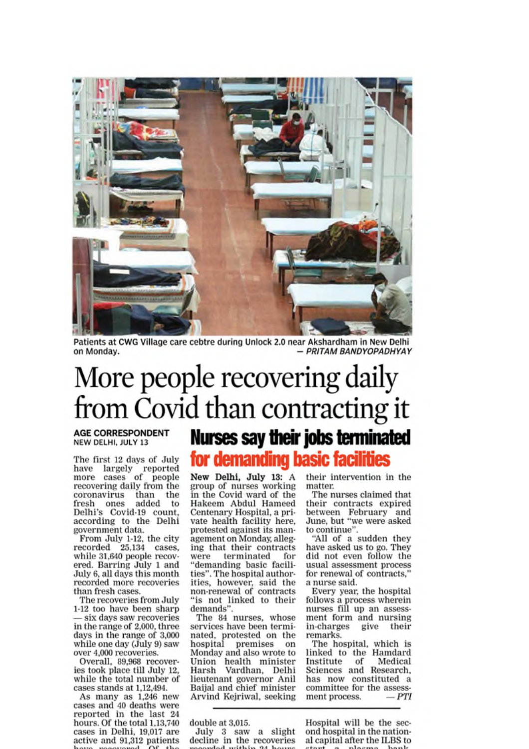

Patients at CWG Village care cebtre during Unlock 2.0 near Akshardham in New Delhi - PRITAM BANDYOPADHYAY on Monday.

## More people recovering daily from Covid than contracting it

**AGE CORRESPONDENT** NEW DELHI, JULY 13

The first 12 days of July have largely reported<br>more cases of people recovering daily from the coronavirus than the fresh ones added to<br>Delhi's Covid-19 count. according to the Delhi government data.

From July 1-12, the city<br>recorded  $25,134$  cases, while 31,640 people recovered. Barring July 1 and July 6, all days this month recorded more recoveries than fresh cases.

The recoveries from July 1-12 too have been sharp - six days saw recoveries in the range of 2,000, three days in the range of 3,000 while one day (July 9) saw over 4,000 recoveries.

Overall, 89,968 recoveries took place till July 12, while the total number of cases stands at 1,12,494.

As many as 1,246 new cases and 40 deaths were reported in the last 24<br>hours. Of the total 1,13,740 cases in Delhi, 19,017 are active and 91,312 patients

### **Nurses say their jobs terminated** for demanding basic facilities

New Delhi, July 13: A group of nurses working in the Covid ward of the Hakeem Abdul Hameed Centenary Hospital, a private health facility here, protested against its management on Monday, alleging that their contracts were terminated for "demanding basic facilities". The hospital authorities, however, said the non-renewal of contracts "is not linked to their demands'

The 84 nurses, whose services have been terminated, protested on the hospital premises on Monday and also wrote to Union health minister Harsh Vardhan, Delhi lieutenant governor Anil Baijal and chief minister Arvind Kejriwal, seeking

double at 3,015.

July 3 saw a slight decline in the recoveries

their intervention in the matter

The nurses claimed that their contracts expired between February and June, but "we were asked to continue".

"All of a sudden they have asked us to go. They did not even follow the usual assessment process for renewal of contracts, a nurse said.

Every year, the hospital follows a process wherein nurses fill up an assessment form and nursing in-charges give their remarks.

The hospital, which is<br>linked to the Hamdard Institute of Medical Sciences and Research. has now constituted a committee for the assessment process.  $-PTI$ 

Hospital will be the second hospital in the national capital after the ILBS to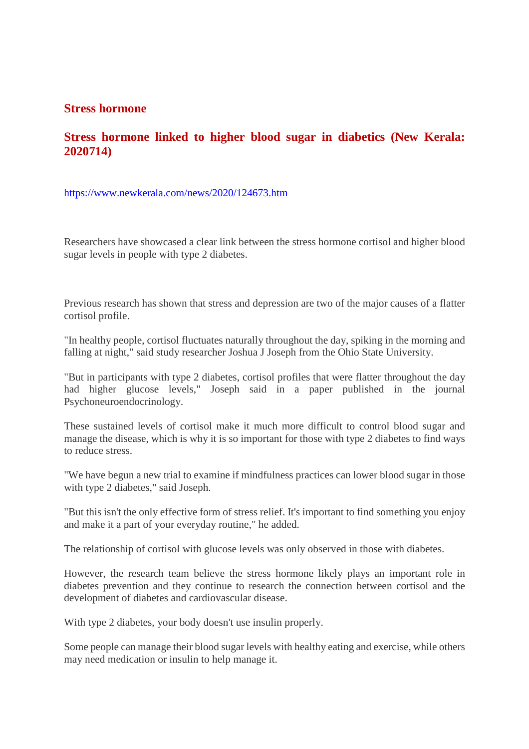#### **Stress hormone**

#### **Stress hormone linked to higher blood sugar in diabetics (New Kerala: 2020714)**

https://www.newkerala.com/news/2020/124673.htm

Researchers have showcased a clear link between the stress hormone cortisol and higher blood sugar levels in people with type 2 diabetes.

Previous research has shown that stress and depression are two of the major causes of a flatter cortisol profile.

"In healthy people, cortisol fluctuates naturally throughout the day, spiking in the morning and falling at night," said study researcher Joshua J Joseph from the Ohio State University.

"But in participants with type 2 diabetes, cortisol profiles that were flatter throughout the day had higher glucose levels," Joseph said in a paper published in the journal Psychoneuroendocrinology.

These sustained levels of cortisol make it much more difficult to control blood sugar and manage the disease, which is why it is so important for those with type 2 diabetes to find ways to reduce stress.

"We have begun a new trial to examine if mindfulness practices can lower blood sugar in those with type 2 diabetes," said Joseph.

"But this isn't the only effective form of stress relief. It's important to find something you enjoy and make it a part of your everyday routine," he added.

The relationship of cortisol with glucose levels was only observed in those with diabetes.

However, the research team believe the stress hormone likely plays an important role in diabetes prevention and they continue to research the connection between cortisol and the development of diabetes and cardiovascular disease.

With type 2 diabetes, your body doesn't use insulin properly.

Some people can manage their blood sugar levels with healthy eating and exercise, while others may need medication or insulin to help manage it.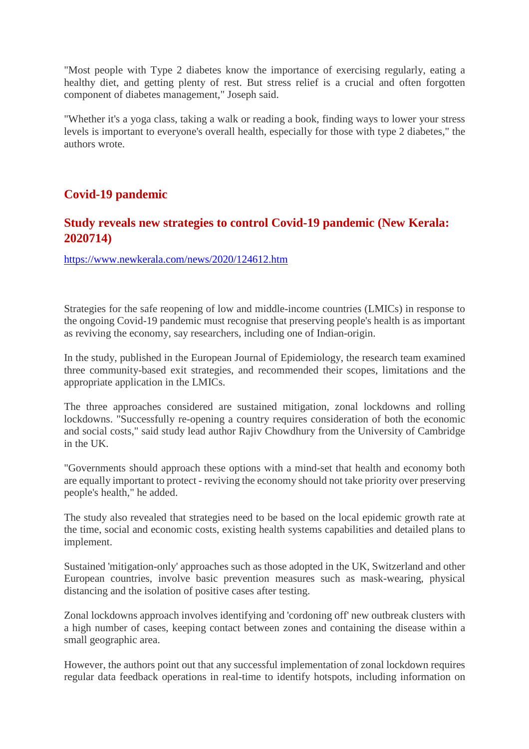"Most people with Type 2 diabetes know the importance of exercising regularly, eating a healthy diet, and getting plenty of rest. But stress relief is a crucial and often forgotten component of diabetes management," Joseph said.

"Whether it's a yoga class, taking a walk or reading a book, finding ways to lower your stress levels is important to everyone's overall health, especially for those with type 2 diabetes," the authors wrote.

#### **Covid-19 pandemic**

#### **Study reveals new strategies to control Covid-19 pandemic (New Kerala: 2020714)**

https://www.newkerala.com/news/2020/124612.htm

Strategies for the safe reopening of low and middle-income countries (LMICs) in response to the ongoing Covid-19 pandemic must recognise that preserving people's health is as important as reviving the economy, say researchers, including one of Indian-origin.

In the study, published in the European Journal of Epidemiology, the research team examined three community-based exit strategies, and recommended their scopes, limitations and the appropriate application in the LMICs.

The three approaches considered are sustained mitigation, zonal lockdowns and rolling lockdowns. "Successfully re-opening a country requires consideration of both the economic and social costs," said study lead author Rajiv Chowdhury from the University of Cambridge in the UK.

"Governments should approach these options with a mind-set that health and economy both are equally important to protect - reviving the economy should not take priority over preserving people's health," he added.

The study also revealed that strategies need to be based on the local epidemic growth rate at the time, social and economic costs, existing health systems capabilities and detailed plans to implement.

Sustained 'mitigation-only' approaches such as those adopted in the UK, Switzerland and other European countries, involve basic prevention measures such as mask-wearing, physical distancing and the isolation of positive cases after testing.

Zonal lockdowns approach involves identifying and 'cordoning off' new outbreak clusters with a high number of cases, keeping contact between zones and containing the disease within a small geographic area.

However, the authors point out that any successful implementation of zonal lockdown requires regular data feedback operations in real-time to identify hotspots, including information on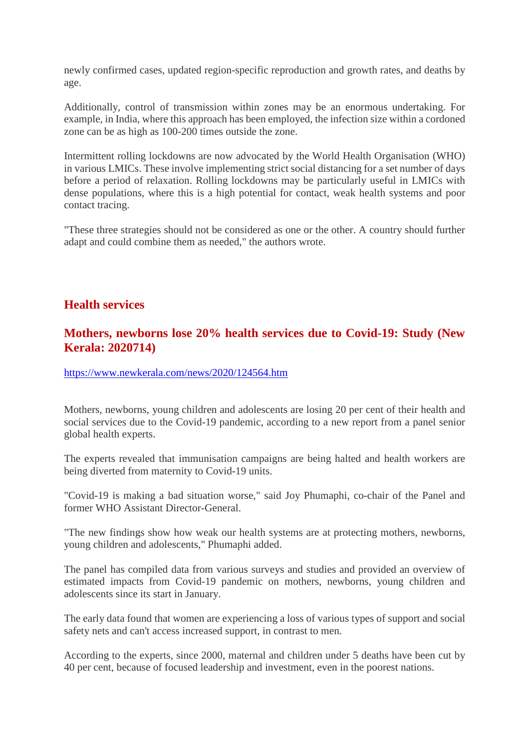newly confirmed cases, updated region-specific reproduction and growth rates, and deaths by age.

Additionally, control of transmission within zones may be an enormous undertaking. For example, in India, where this approach has been employed, the infection size within a cordoned zone can be as high as 100-200 times outside the zone.

Intermittent rolling lockdowns are now advocated by the World Health Organisation (WHO) in various LMICs. These involve implementing strict social distancing for a set number of days before a period of relaxation. Rolling lockdowns may be particularly useful in LMICs with dense populations, where this is a high potential for contact, weak health systems and poor contact tracing.

"These three strategies should not be considered as one or the other. A country should further adapt and could combine them as needed," the authors wrote.

#### **Health services**

#### **Mothers, newborns lose 20% health services due to Covid-19: Study (New Kerala: 2020714)**

https://www.newkerala.com/news/2020/124564.htm

Mothers, newborns, young children and adolescents are losing 20 per cent of their health and social services due to the Covid-19 pandemic, according to a new report from a panel senior global health experts.

The experts revealed that immunisation campaigns are being halted and health workers are being diverted from maternity to Covid-19 units.

"Covid-19 is making a bad situation worse," said Joy Phumaphi, co-chair of the Panel and former WHO Assistant Director-General.

"The new findings show how weak our health systems are at protecting mothers, newborns, young children and adolescents," Phumaphi added.

The panel has compiled data from various surveys and studies and provided an overview of estimated impacts from Covid-19 pandemic on mothers, newborns, young children and adolescents since its start in January.

The early data found that women are experiencing a loss of various types of support and social safety nets and can't access increased support, in contrast to men.

According to the experts, since 2000, maternal and children under 5 deaths have been cut by 40 per cent, because of focused leadership and investment, even in the poorest nations.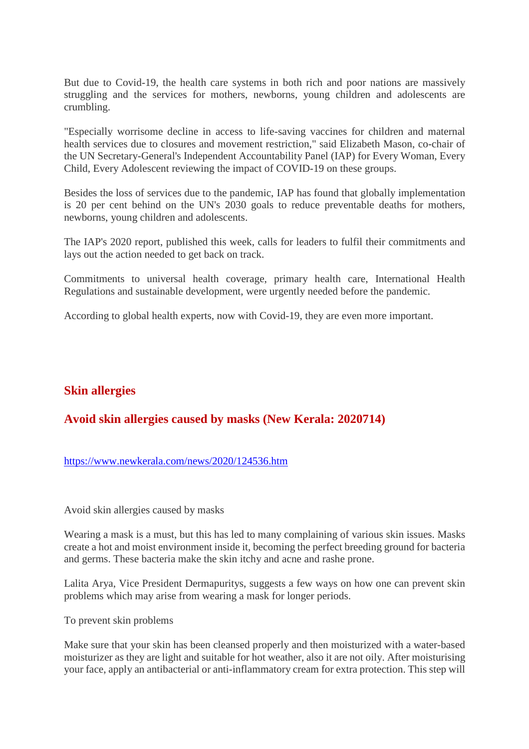But due to Covid-19, the health care systems in both rich and poor nations are massively struggling and the services for mothers, newborns, young children and adolescents are crumbling.

"Especially worrisome decline in access to life-saving vaccines for children and maternal health services due to closures and movement restriction," said Elizabeth Mason, co-chair of the UN Secretary-General's Independent Accountability Panel (IAP) for Every Woman, Every Child, Every Adolescent reviewing the impact of COVID-19 on these groups.

Besides the loss of services due to the pandemic, IAP has found that globally implementation is 20 per cent behind on the UN's 2030 goals to reduce preventable deaths for mothers, newborns, young children and adolescents.

The IAP's 2020 report, published this week, calls for leaders to fulfil their commitments and lays out the action needed to get back on track.

Commitments to universal health coverage, primary health care, International Health Regulations and sustainable development, were urgently needed before the pandemic.

According to global health experts, now with Covid-19, they are even more important.

#### **Skin allergies**

#### **Avoid skin allergies caused by masks (New Kerala: 2020714)**

#### https://www.newkerala.com/news/2020/124536.htm

Avoid skin allergies caused by masks

Wearing a mask is a must, but this has led to many complaining of various skin issues. Masks create a hot and moist environment inside it, becoming the perfect breeding ground for bacteria and germs. These bacteria make the skin itchy and acne and rashe prone.

Lalita Arya, Vice President Dermapuritys, suggests a few ways on how one can prevent skin problems which may arise from wearing a mask for longer periods.

To prevent skin problems

Make sure that your skin has been cleansed properly and then moisturized with a water-based moisturizer as they are light and suitable for hot weather, also it are not oily. After moisturising your face, apply an antibacterial or anti-inflammatory cream for extra protection. This step will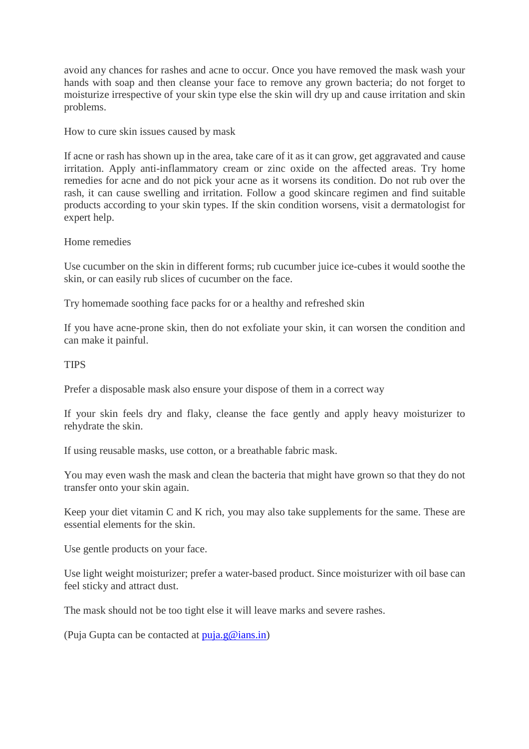avoid any chances for rashes and acne to occur. Once you have removed the mask wash your hands with soap and then cleanse your face to remove any grown bacteria; do not forget to moisturize irrespective of your skin type else the skin will dry up and cause irritation and skin problems.

How to cure skin issues caused by mask

If acne or rash has shown up in the area, take care of it as it can grow, get aggravated and cause irritation. Apply anti-inflammatory cream or zinc oxide on the affected areas. Try home remedies for acne and do not pick your acne as it worsens its condition. Do not rub over the rash, it can cause swelling and irritation. Follow a good skincare regimen and find suitable products according to your skin types. If the skin condition worsens, visit a dermatologist for expert help.

Home remedies

Use cucumber on the skin in different forms; rub cucumber juice ice-cubes it would soothe the skin, or can easily rub slices of cucumber on the face.

Try homemade soothing face packs for or a healthy and refreshed skin

If you have acne-prone skin, then do not exfoliate your skin, it can worsen the condition and can make it painful.

**TIPS** 

Prefer a disposable mask also ensure your dispose of them in a correct way

If your skin feels dry and flaky, cleanse the face gently and apply heavy moisturizer to rehydrate the skin.

If using reusable masks, use cotton, or a breathable fabric mask.

You may even wash the mask and clean the bacteria that might have grown so that they do not transfer onto your skin again.

Keep your diet vitamin C and K rich, you may also take supplements for the same. These are essential elements for the skin.

Use gentle products on your face.

Use light weight moisturizer; prefer a water-based product. Since moisturizer with oil base can feel sticky and attract dust.

The mask should not be too tight else it will leave marks and severe rashes.

(Puja Gupta can be contacted at  $puia.g@ians.in)$ )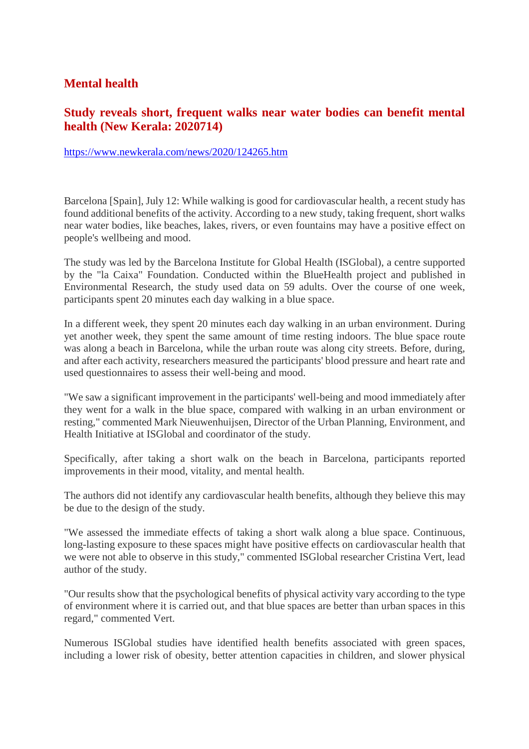#### **Mental health**

#### **Study reveals short, frequent walks near water bodies can benefit mental health (New Kerala: 2020714)**

#### https://www.newkerala.com/news/2020/124265.htm

Barcelona [Spain], July 12: While walking is good for cardiovascular health, a recent study has found additional benefits of the activity. According to a new study, taking frequent, short walks near water bodies, like beaches, lakes, rivers, or even fountains may have a positive effect on people's wellbeing and mood.

The study was led by the Barcelona Institute for Global Health (ISGlobal), a centre supported by the "la Caixa" Foundation. Conducted within the BlueHealth project and published in Environmental Research, the study used data on 59 adults. Over the course of one week, participants spent 20 minutes each day walking in a blue space.

In a different week, they spent 20 minutes each day walking in an urban environment. During yet another week, they spent the same amount of time resting indoors. The blue space route was along a beach in Barcelona, while the urban route was along city streets. Before, during, and after each activity, researchers measured the participants' blood pressure and heart rate and used questionnaires to assess their well-being and mood.

"We saw a significant improvement in the participants' well-being and mood immediately after they went for a walk in the blue space, compared with walking in an urban environment or resting," commented Mark Nieuwenhuijsen, Director of the Urban Planning, Environment, and Health Initiative at ISGlobal and coordinator of the study.

Specifically, after taking a short walk on the beach in Barcelona, participants reported improvements in their mood, vitality, and mental health.

The authors did not identify any cardiovascular health benefits, although they believe this may be due to the design of the study.

"We assessed the immediate effects of taking a short walk along a blue space. Continuous, long-lasting exposure to these spaces might have positive effects on cardiovascular health that we were not able to observe in this study," commented ISGlobal researcher Cristina Vert, lead author of the study.

"Our results show that the psychological benefits of physical activity vary according to the type of environment where it is carried out, and that blue spaces are better than urban spaces in this regard," commented Vert.

Numerous ISGlobal studies have identified health benefits associated with green spaces, including a lower risk of obesity, better attention capacities in children, and slower physical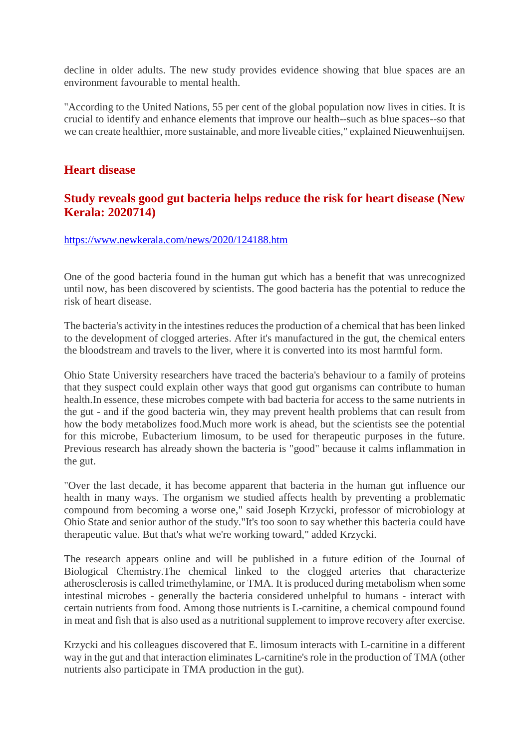decline in older adults. The new study provides evidence showing that blue spaces are an environment favourable to mental health.

"According to the United Nations, 55 per cent of the global population now lives in cities. It is crucial to identify and enhance elements that improve our health--such as blue spaces--so that we can create healthier, more sustainable, and more liveable cities," explained Nieuwenhuijsen.

#### **Heart disease**

#### **Study reveals good gut bacteria helps reduce the risk for heart disease (New Kerala: 2020714)**

#### https://www.newkerala.com/news/2020/124188.htm

One of the good bacteria found in the human gut which has a benefit that was unrecognized until now, has been discovered by scientists. The good bacteria has the potential to reduce the risk of heart disease.

The bacteria's activity in the intestines reduces the production of a chemical that has been linked to the development of clogged arteries. After it's manufactured in the gut, the chemical enters the bloodstream and travels to the liver, where it is converted into its most harmful form.

Ohio State University researchers have traced the bacteria's behaviour to a family of proteins that they suspect could explain other ways that good gut organisms can contribute to human health.In essence, these microbes compete with bad bacteria for access to the same nutrients in the gut - and if the good bacteria win, they may prevent health problems that can result from how the body metabolizes food.Much more work is ahead, but the scientists see the potential for this microbe, Eubacterium limosum, to be used for therapeutic purposes in the future. Previous research has already shown the bacteria is "good" because it calms inflammation in the gut.

"Over the last decade, it has become apparent that bacteria in the human gut influence our health in many ways. The organism we studied affects health by preventing a problematic compound from becoming a worse one," said Joseph Krzycki, professor of microbiology at Ohio State and senior author of the study."It's too soon to say whether this bacteria could have therapeutic value. But that's what we're working toward," added Krzycki.

The research appears online and will be published in a future edition of the Journal of Biological Chemistry.The chemical linked to the clogged arteries that characterize atherosclerosis is called trimethylamine, or TMA. It is produced during metabolism when some intestinal microbes - generally the bacteria considered unhelpful to humans - interact with certain nutrients from food. Among those nutrients is L-carnitine, a chemical compound found in meat and fish that is also used as a nutritional supplement to improve recovery after exercise.

Krzycki and his colleagues discovered that E. limosum interacts with L-carnitine in a different way in the gut and that interaction eliminates L-carnitine's role in the production of TMA (other nutrients also participate in TMA production in the gut).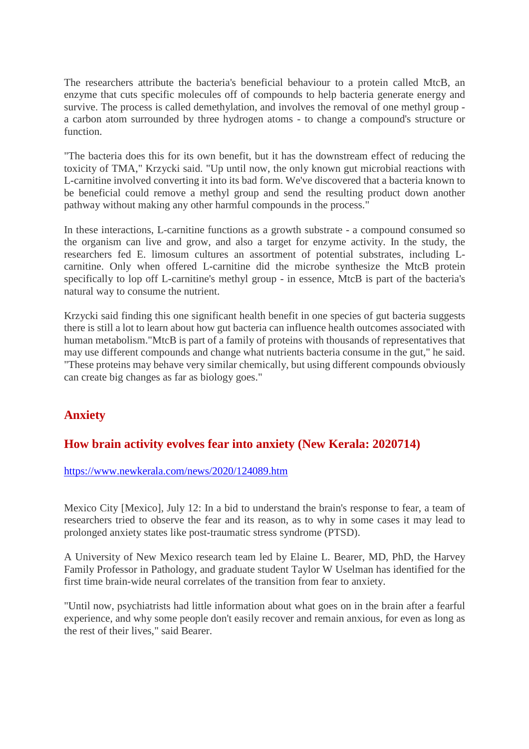The researchers attribute the bacteria's beneficial behaviour to a protein called MtcB, an enzyme that cuts specific molecules off of compounds to help bacteria generate energy and survive. The process is called demethylation, and involves the removal of one methyl group a carbon atom surrounded by three hydrogen atoms - to change a compound's structure or function.

"The bacteria does this for its own benefit, but it has the downstream effect of reducing the toxicity of TMA," Krzycki said. "Up until now, the only known gut microbial reactions with L-carnitine involved converting it into its bad form. We've discovered that a bacteria known to be beneficial could remove a methyl group and send the resulting product down another pathway without making any other harmful compounds in the process."

In these interactions, L-carnitine functions as a growth substrate - a compound consumed so the organism can live and grow, and also a target for enzyme activity. In the study, the researchers fed E. limosum cultures an assortment of potential substrates, including Lcarnitine. Only when offered L-carnitine did the microbe synthesize the MtcB protein specifically to lop off L-carnitine's methyl group - in essence, MtcB is part of the bacteria's natural way to consume the nutrient.

Krzycki said finding this one significant health benefit in one species of gut bacteria suggests there is still a lot to learn about how gut bacteria can influence health outcomes associated with human metabolism."MtcB is part of a family of proteins with thousands of representatives that may use different compounds and change what nutrients bacteria consume in the gut," he said. "These proteins may behave very similar chemically, but using different compounds obviously can create big changes as far as biology goes."

#### **Anxiety**

#### **How brain activity evolves fear into anxiety (New Kerala: 2020714)**

https://www.newkerala.com/news/2020/124089.htm

Mexico City [Mexico], July 12: In a bid to understand the brain's response to fear, a team of researchers tried to observe the fear and its reason, as to why in some cases it may lead to prolonged anxiety states like post-traumatic stress syndrome (PTSD).

A University of New Mexico research team led by Elaine L. Bearer, MD, PhD, the Harvey Family Professor in Pathology, and graduate student Taylor W Uselman has identified for the first time brain-wide neural correlates of the transition from fear to anxiety.

"Until now, psychiatrists had little information about what goes on in the brain after a fearful experience, and why some people don't easily recover and remain anxious, for even as long as the rest of their lives," said Bearer.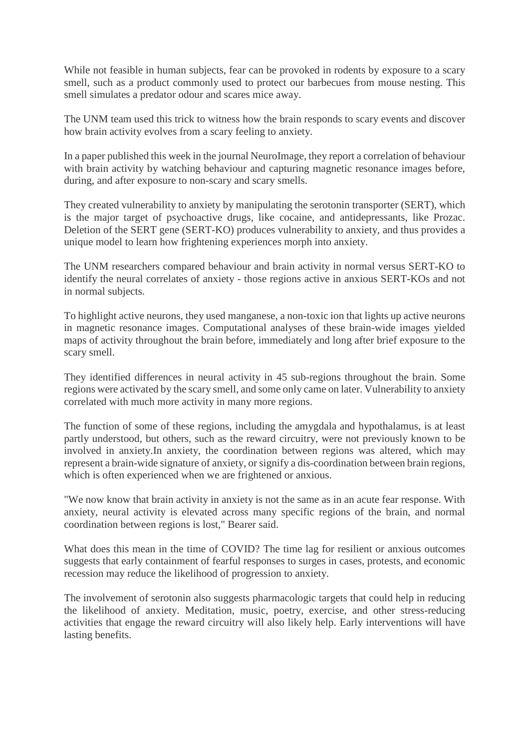While not feasible in human subjects, fear can be provoked in rodents by exposure to a scary smell, such as a product commonly used to protect our barbecues from mouse nesting. This smell simulates a predator odour and scares mice away.

The UNM team used this trick to witness how the brain responds to scary events and discover how brain activity evolves from a scary feeling to anxiety.

In a paper published this week in the journal NeuroImage, they report a correlation of behaviour with brain activity by watching behaviour and capturing magnetic resonance images before, during, and after exposure to non-scary and scary smells.

They created vulnerability to anxiety by manipulating the serotonin transporter (SERT), which is the major target of psychoactive drugs, like cocaine, and antidepressants, like Prozac. Deletion of the SERT gene (SERT-KO) produces vulnerability to anxiety, and thus provides a unique model to learn how frightening experiences morph into anxiety.

The UNM researchers compared behaviour and brain activity in normal versus SERT-KO to identify the neural correlates of anxiety - those regions active in anxious SERT-KOs and not in normal subjects.

To highlight active neurons, they used manganese, a non-toxic ion that lights up active neurons in magnetic resonance images. Computational analyses of these brain-wide images yielded maps of activity throughout the brain before, immediately and long after brief exposure to the scary smell.

They identified differences in neural activity in 45 sub-regions throughout the brain. Some regions were activated by the scary smell, and some only came on later. Vulnerability to anxiety correlated with much more activity in many more regions.

The function of some of these regions, including the amygdala and hypothalamus, is at least partly understood, but others, such as the reward circuitry, were not previously known to be involved in anxiety.In anxiety, the coordination between regions was altered, which may represent a brain-wide signature of anxiety, or signify a dis-coordination between brain regions, which is often experienced when we are frightened or anxious.

"We now know that brain activity in anxiety is not the same as in an acute fear response. With anxiety, neural activity is elevated across many specific regions of the brain, and normal coordination between regions is lost," Bearer said.

What does this mean in the time of COVID? The time lag for resilient or anxious outcomes suggests that early containment of fearful responses to surges in cases, protests, and economic recession may reduce the likelihood of progression to anxiety.

The involvement of serotonin also suggests pharmacologic targets that could help in reducing the likelihood of anxiety. Meditation, music, poetry, exercise, and other stress-reducing activities that engage the reward circuitry will also likely help. Early interventions will have lasting benefits.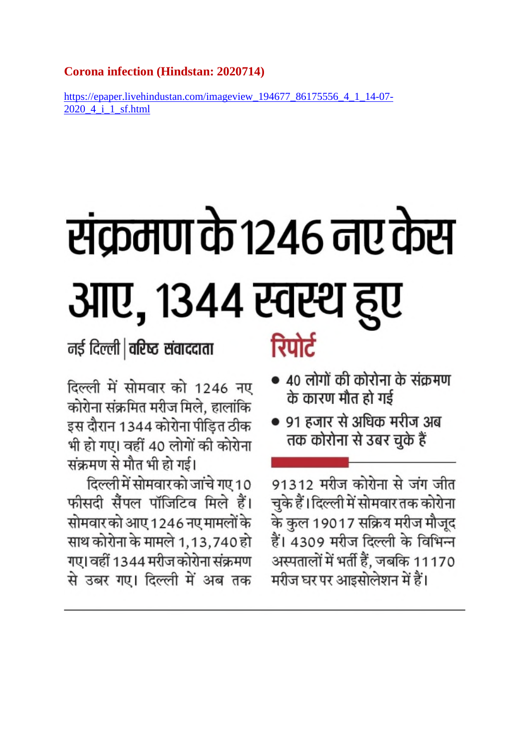#### **Corona infection (Hindstan: 2020714)**

https://epaper.livehindustan.com/imageview 194677 86175556 4 1 14-07-2020 4 i 1 sf.html

# संक्रमण के 1246 नए केस आए, १३४४ स्वस्थ हुए

नई दिल्ली | वरिष्ट संवाददाता

दिल्ली में सोमवार को 1246 नए कोरोना संक्रमित मरीज मिले, हालांकि इस दौरान 1344 कोरोना पीड़ित ठीक भी हो गए। वहीं 40 लोगों की कोरोना संक्रमण से मौत भी हो गई।

दिल्ली में सोमवारको जांचे गए 10 फीसदी सैंपल पॉजिटिव मिले हैं। सोमवार को आए 1246 नए मामलों के साथ कोरोना के मामले 1,13,740 हो गए। वहीं 1344 मरीज कोरोना संक्रमण से उबर गए। दिल्ली में अब तक

## रिपोर्ट

- 40 लोगों की कोरोना के संक्रमण के कारण मौत हो गई
- 91 हजार से अधिक मरीज अब तक कोरोना से उबर चुके हैं

91312 मरीज कोरोना से जंग जीत चुके हैं।दिल्ली में सोमवार तक कोरोना के कुल 19017 सक्रिय मरीज मौजूद हैं। 4309 मरीज दिल्ली के विभिन्न अस्पतालों में भर्ती हैं, जबकि 11170 मरीज घर पर आइसोलेशन में हैं।